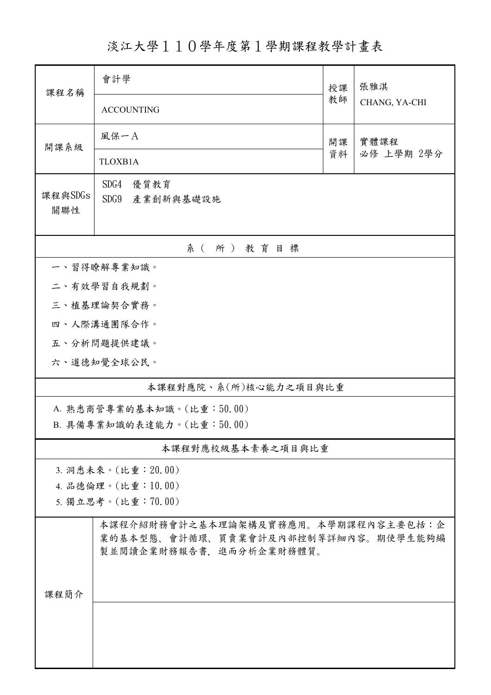淡江大學110學年度第1學期課程教學計畫表

| 課程名稱           | 會計學                                                            | 授課<br>教師 | 張雅淇           |  |  |  |  |
|----------------|----------------------------------------------------------------|----------|---------------|--|--|--|--|
|                | <b>ACCOUNTING</b>                                              |          | CHANG, YA-CHI |  |  |  |  |
| 開課系級           | 風保一A                                                           | 開課<br>資料 | 實體課程          |  |  |  |  |
|                | TLOXB1A                                                        |          | 必修 上學期 2學分    |  |  |  |  |
|                | SDG4<br>優質教育                                                   |          |               |  |  |  |  |
| 課程與SDGs<br>關聯性 | SDG9<br>產業創新與基礎設施                                              |          |               |  |  |  |  |
|                |                                                                |          |               |  |  |  |  |
| 系(所)教育目標       |                                                                |          |               |  |  |  |  |
| 一、習得瞭解專業知識。    |                                                                |          |               |  |  |  |  |
| 二、有效學習自我規劃。    |                                                                |          |               |  |  |  |  |
|                | 三、植基理論契合實務。                                                    |          |               |  |  |  |  |
|                | 四、人際溝通團隊合作。                                                    |          |               |  |  |  |  |
|                | 五、分析問題提供建議。                                                    |          |               |  |  |  |  |
|                | 六、道德知覺全球公民。                                                    |          |               |  |  |  |  |
|                | 本課程對應院、系(所)核心能力之項目與比重                                          |          |               |  |  |  |  |
|                | A. 熟悉商管專業的基本知識。(比重:50.00)                                      |          |               |  |  |  |  |
|                | B. 具備專業知識的表達能力。(比重:50.00)                                      |          |               |  |  |  |  |
|                | 本課程對應校級基本素養之項目與比重                                              |          |               |  |  |  |  |
|                | 3. 洞悉未來。(比重: 20.00)                                            |          |               |  |  |  |  |
|                | 4. 品德倫理。(比重:10.00)                                             |          |               |  |  |  |  |
|                | 5. 獨立思考。(比重:70.00)                                             |          |               |  |  |  |  |
|                | 本課程介紹財務會計之基本理論架構及實務應用。本學期課程內容主要包括:企                            |          |               |  |  |  |  |
|                | 業的基本型態、會計循環、買賣業會計及內部控制等詳細內容。期使學生能夠編<br>製並閱讀企業財務報告書,進而分析企業財務體質。 |          |               |  |  |  |  |
|                |                                                                |          |               |  |  |  |  |
|                |                                                                |          |               |  |  |  |  |
| 課程簡介           |                                                                |          |               |  |  |  |  |
|                |                                                                |          |               |  |  |  |  |
|                |                                                                |          |               |  |  |  |  |
|                |                                                                |          |               |  |  |  |  |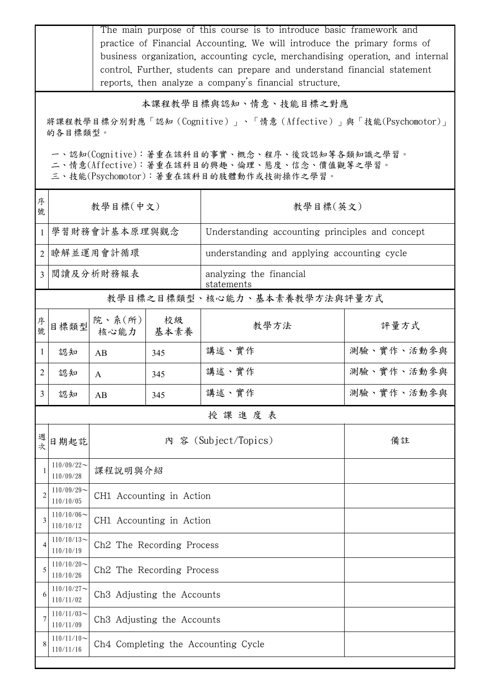|                                                                                                                                        | The main purpose of this course is to introduce basic framework and<br>practice of Financial Accounting. We will introduce the primary forms of<br>business organization, accounting cycle, merchandising operation, and internal<br>control. Further, students can prepare and understand financial statement<br>reports, then analyze a company's financial structure. |                                        |            |                                                 |            |  |  |  |
|----------------------------------------------------------------------------------------------------------------------------------------|--------------------------------------------------------------------------------------------------------------------------------------------------------------------------------------------------------------------------------------------------------------------------------------------------------------------------------------------------------------------------|----------------------------------------|------------|-------------------------------------------------|------------|--|--|--|
|                                                                                                                                        |                                                                                                                                                                                                                                                                                                                                                                          |                                        |            | 本課程教學目標與認知、情意、技能目標之對應                           |            |  |  |  |
|                                                                                                                                        | 將課程教學目標分別對應「認知(Cognitive)」、「情意(Affective)」與「技能(Psychomotor)」<br>的各目標類型。                                                                                                                                                                                                                                                                                                  |                                        |            |                                                 |            |  |  |  |
|                                                                                                                                        |                                                                                                                                                                                                                                                                                                                                                                          |                                        |            |                                                 |            |  |  |  |
| 一、認知(Cognitive):著重在該科目的事實、概念、程序、後設認知等各類知識之學習。<br>二、情意(Affective):著重在該科目的興趣、倫理、態度、信念、價值觀等之學習。<br>三、技能(Psychomotor):著重在該科目的肢體動作或技術操作之學習。 |                                                                                                                                                                                                                                                                                                                                                                          |                                        |            |                                                 |            |  |  |  |
| 序<br>號                                                                                                                                 | 教學目標(中文)                                                                                                                                                                                                                                                                                                                                                                 |                                        |            | 教學目標(英文)                                        |            |  |  |  |
| $\mathbf{1}$                                                                                                                           | 學習財務會計基本原理與觀念                                                                                                                                                                                                                                                                                                                                                            |                                        |            | Understanding accounting principles and concept |            |  |  |  |
| 2                                                                                                                                      |                                                                                                                                                                                                                                                                                                                                                                          | 瞭解並運用會計循環                              |            | understanding and applying accounting cycle     |            |  |  |  |
| 3                                                                                                                                      |                                                                                                                                                                                                                                                                                                                                                                          | 閱讀及分析財務報表                              |            | analyzing the financial<br>statements           |            |  |  |  |
|                                                                                                                                        | 教學目標之目標類型、核心能力、基本素養教學方法與評量方式                                                                                                                                                                                                                                                                                                                                             |                                        |            |                                                 |            |  |  |  |
| 序<br>號                                                                                                                                 | 目標類型                                                                                                                                                                                                                                                                                                                                                                     | 院、系 $(\kappa)$<br>核心能力                 | 校級<br>基本素養 | 教學方法                                            | 評量方式       |  |  |  |
| -1                                                                                                                                     | 認知                                                                                                                                                                                                                                                                                                                                                                       | AB                                     | 345        | 講述、實作                                           | 測驗、實作、活動參與 |  |  |  |
| 2                                                                                                                                      | 認知                                                                                                                                                                                                                                                                                                                                                                       | A                                      | 345        | 講述、實作                                           | 測驗、實作、活動參與 |  |  |  |
| 3                                                                                                                                      | 認知                                                                                                                                                                                                                                                                                                                                                                       | AB                                     | 345        | 講述、實作                                           | 測驗、實作、活動參與 |  |  |  |
|                                                                                                                                        |                                                                                                                                                                                                                                                                                                                                                                          |                                        |            | 授課進度表                                           |            |  |  |  |
| 週<br>文                                                                                                                                 | 日期起訖                                                                                                                                                                                                                                                                                                                                                                     |                                        |            | 內 容 (Subject/Topics)                            | 備註         |  |  |  |
|                                                                                                                                        | $110/09/22$ ~<br>110/09/28                                                                                                                                                                                                                                                                                                                                               | 课程說明與介紹                                |            |                                                 |            |  |  |  |
| $\overline{2}$                                                                                                                         | $110/09/29$ ~<br>110/10/05                                                                                                                                                                                                                                                                                                                                               | CH1 Accounting in Action               |            |                                                 |            |  |  |  |
|                                                                                                                                        | $110/10/06 \sim$<br>110/10/12                                                                                                                                                                                                                                                                                                                                            | CH1 Accounting in Action               |            |                                                 |            |  |  |  |
| 4                                                                                                                                      | $110/10/13$ ~<br>110/10/19                                                                                                                                                                                                                                                                                                                                               | Ch <sub>2</sub> The Recording Process  |            |                                                 |            |  |  |  |
| 5                                                                                                                                      | $110/10/20$ ~<br>110/10/26                                                                                                                                                                                                                                                                                                                                               | Ch <sub>2</sub> The Recording Process  |            |                                                 |            |  |  |  |
| 6                                                                                                                                      | $110/10/27$ ~<br>110/11/02                                                                                                                                                                                                                                                                                                                                               | Ch3 Adjusting the Accounts             |            |                                                 |            |  |  |  |
|                                                                                                                                        | $110/11/03$ ~<br>110/11/09                                                                                                                                                                                                                                                                                                                                               | Ch <sub>3</sub> Adjusting the Accounts |            |                                                 |            |  |  |  |
| 8                                                                                                                                      | $110/11/10$ ~<br>Ch4 Completing the Accounting Cycle<br>110/11/16                                                                                                                                                                                                                                                                                                        |                                        |            |                                                 |            |  |  |  |